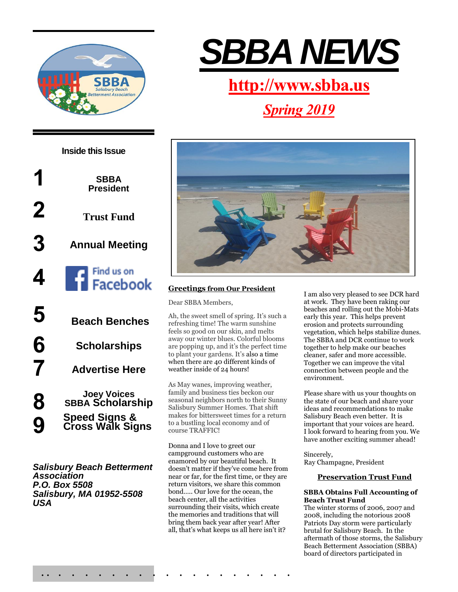



*Salisbury Beach Betterment Association P.O. Box 5508 Salisbury, MA 01952-5508 USA*



## **[http://www.sbba.us](http://www.sbba.us/)**

# *Spring 2019*



## **Greetings from Our President**

Dear SBBA Members,

Ah, the sweet smell of spring. It's such a refreshing time! The warm sunshine feels so good on our skin, and melts away our winter blues. Colorful blooms are popping up, and it's the perfect time to plant your gardens. It's also a time when there are 40 different kinds of weather inside of 24 hours!

As May wanes, improving weather, family and business ties beckon our seasonal neighbors north to their Sunny Salisbury Summer Homes. That shift makes for bittersweet times for a return to a bustling local economy and of course TRAFFIC!

Donna and I love to greet our campground customers who are enamored by our beautiful beach. It doesn't matter if they've come here from near or far, for the first time, or they are return visitors, we share this common bond….. Our love for the ocean, the beach center, all the activities surrounding their visits, which create the memories and traditions that will bring them back year after year! After all, that's what keeps us all here isn't it?

I am also very pleased to see DCR hard at work. They have been raking our beaches and rolling out the Mobi-Mats early this year. This helps prevent erosion and protects surrounding vegetation, which helps stabilize dunes. The SBBA and DCR continue to work together to help make our beaches cleaner, safer and more accessible. Together we can improve the vital connection between people and the environment.

Please share with us your thoughts on the state of our beach and share your ideas and recommendations to make Salisbury Beach even better. It is important that your voices are heard. I look forward to hearing from you. We have another exciting summer ahead!

Sincerely, Ray Champagne, President

## **Preservation Trust Fund**

#### **SBBA Obtains Full Accounting of Beach Trust Fund**

The winter storms of 2006, 2007 and 2008, including the notorious 2008 Patriots Day storm were particularly brutal for Salisbury Beach. In the aftermath of those storms, the Salisbury Beach Betterment Association (SBBA) board of directors participated in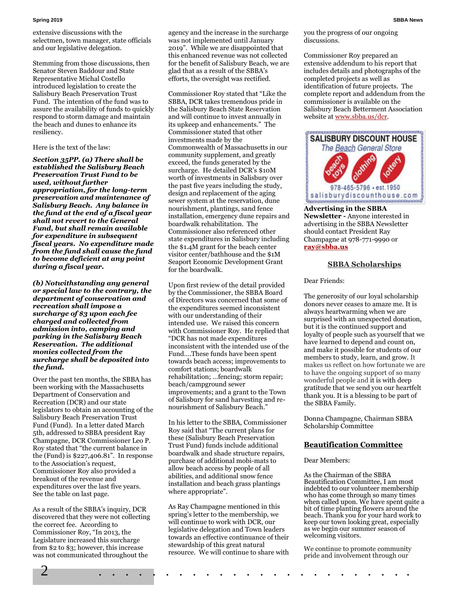#### **Spring 2019 SBBA News**

extensive discussions with the selectmen, town manager, state officials and our legislative delegation.

Stemming from those discussions, then Senator Steven Baddour and State Representative Michal Costello introduced legislation to create the Salisbury Beach Preservation Trust Fund. The intention of the fund was to assure the availability of funds to quickly respond to storm damage and maintain the beach and dunes to enhance its resiliency.

Here is the text of the law:

*Section 35PP. (a) There shall be established the Salisbury Beach Preservation Trust Fund to be used, without further appropriation, for the long-term preservation and maintenance of Salisbury Beach. Any balance in the fund at the end of a fiscal year shall not revert to the General Fund, but shall remain available for expenditure in subsequent fiscal years. No expenditure made from the fund shall cause the fund to become deficient at any point during a fiscal year.*

*(b) Notwithstanding any general or special law to the contrary, the department of conservation and recreation shall impose a surcharge of \$3 upon each fee charged and collected from admission into, camping and parking in the Salisbury Beach Reservation. The additional monies collected from the surcharge shall be deposited into the fund.*

Over the past ten months, the SBBA has been working with the Massachusetts Department of Conservation and Recreation (DCR) and our state legislators to obtain an accounting of the Salisbury Beach Preservation Trust Fund (Fund). In a letter dated March 5th, addressed to SBBA president Ray Champagne, DCR Commissioner Leo P. Roy stated that "the current balance in the (Fund) is \$227,406.81". In response to the Association's request, Commissioner Roy also provided a breakout of the revenue and expenditures over the last five years. See the table on last page.

As a result of the SBBA's inquiry, DCR discovered that they were not collecting the correct fee. According to Commissioner Roy, "In 2013, the Legislature increased this surcharge from \$2 to \$3; however, this increase was not communicated throughout the

agency and the increase in the surcharge was not implemented until January 2019". While we are disappointed that this enhanced revenue was not collected for the benefit of Salisbury Beach, we are glad that as a result of the SBBA's efforts, the oversight was rectified.

Commissioner Roy stated that "Like the SBBA, DCR takes tremendous pride in the Salisbury Beach State Reservation and will continue to invest annually in its upkeep and enhancements." The Commissioner stated that other investments made by the Commonwealth of Massachusetts in our community supplement, and greatly exceed, the funds generated by the surcharge. He detailed DCR's \$10M worth of investments in Salisbury over the past five years including the study, design and replacement of the aging sewer system at the reservation, dune nourishment, plantings, sand fence installation, emergency dune repairs and boardwalk rehabilitation. The Commissioner also referenced other state expenditures in Salisbury including the \$1.4M grant for the beach center visitor center/bathhouse and the \$1M Seaport Economic Development Grant for the boardwalk.

Upon first review of the detail provided by the Commissioner, the SBBA Board of Directors was concerned that some of the expenditures seemed inconsistent with our understanding of their intended use. We raised this concern with Commissioner Roy. He replied that "DCR has not made expenditures inconsistent with the intended use of the Fund….These funds have been spent towards beach access; improvements to comfort stations; boardwalk rehabilitation; …fencing; storm repair; beach/campground sewer improvements; and a grant to the Town of Salisbury for sand harvesting and renourishment of Salisbury Beach."

In his letter to the SBBA, Commissioner Roy said that "The current plans for these (Salisbury Beach Preservation Trust Fund) funds include additional boardwalk and shade structure repairs, purchase of additional mobi-mats to allow beach access by people of all abilities, and additional snow fence installation and beach grass plantings where appropriate".

As Ray Champagne mentioned in this spring's letter to the membership, we will continue to work with DCR, our legislative delegation and Town leaders towards an effective continuance of their stewardship of this great natural resource. We will continue to share with you the progress of our ongoing discussions.

Commissioner Roy prepared an extensive addendum to his report that includes details and photographs of the completed projects as well as identification of future projects. The complete report and addendum from the commissioner is available on the Salisbury Beach Betterment Association website a[t www.sbba.us/dcr.](file:///C:/Users/Donald/Documents/SBBA/www.sbba.us/dcr)



**Advertising in the SBBA Newsletter -** Anyone interested in advertising in the SBBA Newsletter should contact President Ray Champagne at 978-771-9990 or **[ray@sbba.us](mailto:ray@sbba.us)**

#### **SBBA Scholarships**

#### Dear Friends:

The generosity of our loyal scholarship donors never ceases to amaze me. It is always heartwarming when we are surprised with an unexpected donation, but it is the continued support and loyalty of people such as yourself that we have learned to depend and count on, and make it possible for students of our members to study, learn, and grow. It makes us reflect on how fortunate we are to have the ongoing support of so many wonderful people and it is with deep gratitude that we send you our heartfelt thank you. It is a blessing to be part of the SBBA Family.

Donna Champagne, Chairman SBBA Scholarship Committee

#### **Beautification Committee**

#### Dear Members:

As the Chairman of the SBBA Beautification Committee, I am most indebted to our volunteer membership who has come through so many times when called upon. We have spent quite a bit of time planting flowers around the beach. Thank you for your hard work to keep our town looking great, especially as we begin our summer season of welcoming visitors.

We continue to promote community pride and involvement through our

2 . . . . . . . . . . . . . . . . . . . . . . . .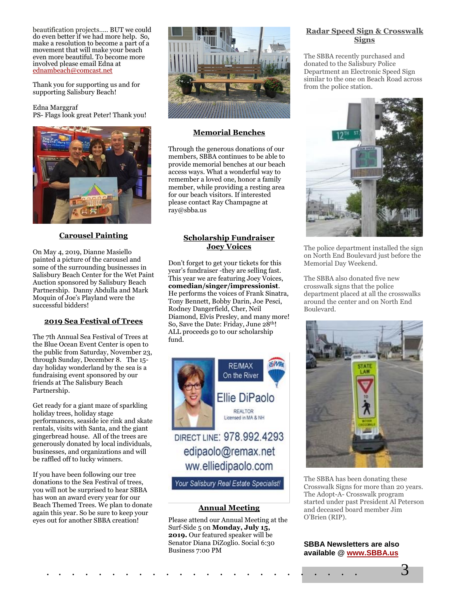beautification projects….. BUT we could do even better if we had more help. So, make a resolution to become a part of a movement that will make your beach even more beautiful. To become more involved please email Edna at [ednambeach@comcast.net](mailto:ednambeach@comcast.net)

Thank you for supporting us and for supporting Salisbury Beach!

#### Edna Marggraf PS- Flags look great Peter! Thank you!



## **Carousel Painting**

On May 4, 2019, Dianne Masiello painted a picture of the carousel and some of the surrounding businesses in Salisbury Beach Center for the Wet Paint Auction sponsored by Salisbury Beach Partnership. Danny Abdulla and Mark Moquin of Joe's Playland were the successful bidders!

#### **2019 Sea Festival of Trees**

The 7th Annual Sea Festival of Trees at the Blue Ocean Event Center is open to the public from Saturday, November 23, through Sunday, December 8. The 15 day holiday wonderland by the sea is a fundraising event sponsored by our friends at The Salisbury Beach Partnership.

Get ready for a giant maze of sparkling holiday trees, holiday stage performances, seaside ice rink and skate rentals, visits with Santa, and the giant gingerbread house. All of the trees are generously donated by local individuals, businesses, and organizations and will be raffled off to lucky winners.

If you have been following our tree donations to the Sea Festival of trees, you will not be surprised to hear SBBA has won an award every year for our Beach Themed Trees. We plan to donate again this year. So be sure to keep your eyes out for another SBBA creation!



### **Memorial Benches**

Through the generous donations of our members, SBBA continues to be able to provide memorial benches at our beach access ways. What a wonderful way to remember a loved one, honor a family member, while providing a resting area for our beach visitors. If interested please contact Ray Champagne at ray@sbba.us

## **Scholarship Fundraiser Joey Voices**

Don't forget to get your tickets for this year's fundraiser -they are selling fast. This year we are featuring Joey Voices, **comedian/singer/impressionist**. He performs the voices of Frank Sinatra, Tony Bennett, Bobby Darin, Joe Pesci, Rodney Dangerfield, Cher, Neil Diamond, Elvis Presley, and many more! So, Save the Date: Friday, June 28th! ALL proceeds go to our scholarship fund.



edipaolo@remax.net ww.elliedipaolo.com

Your Salisbury Real Estate Specialist!

## **Annual Meeting**

Please attend our Annual Meeting at the Surf-Side 5 on **Monday, July 15, 2019.** Our featured speaker will be Senator Diana DiZoglio. Social 6:30 Business 7:00 PM

### **Radar Speed Sign & Crosswalk Signs**

The SBBA recently purchased and donated to the Salisbury Police Department an Electronic Speed Sign similar to the one on Beach Road across from the police station.



The police department installed the sign on North End Boulevard just before the Memorial Day Weekend.

The SBBA also donated five new crosswalk signs that the police department placed at all the crosswalks around the center and on North End Boulevard.



The SBBA has been donating these Crosswalk Signs for more than 20 years. The Adopt-A- Crosswalk program started under past President Al Peterson and deceased board member Jim O'Brien (RIP).

#### **SBBA Newsletters are also available @ [www.SBBA.us](http://www.sbba.us/)**